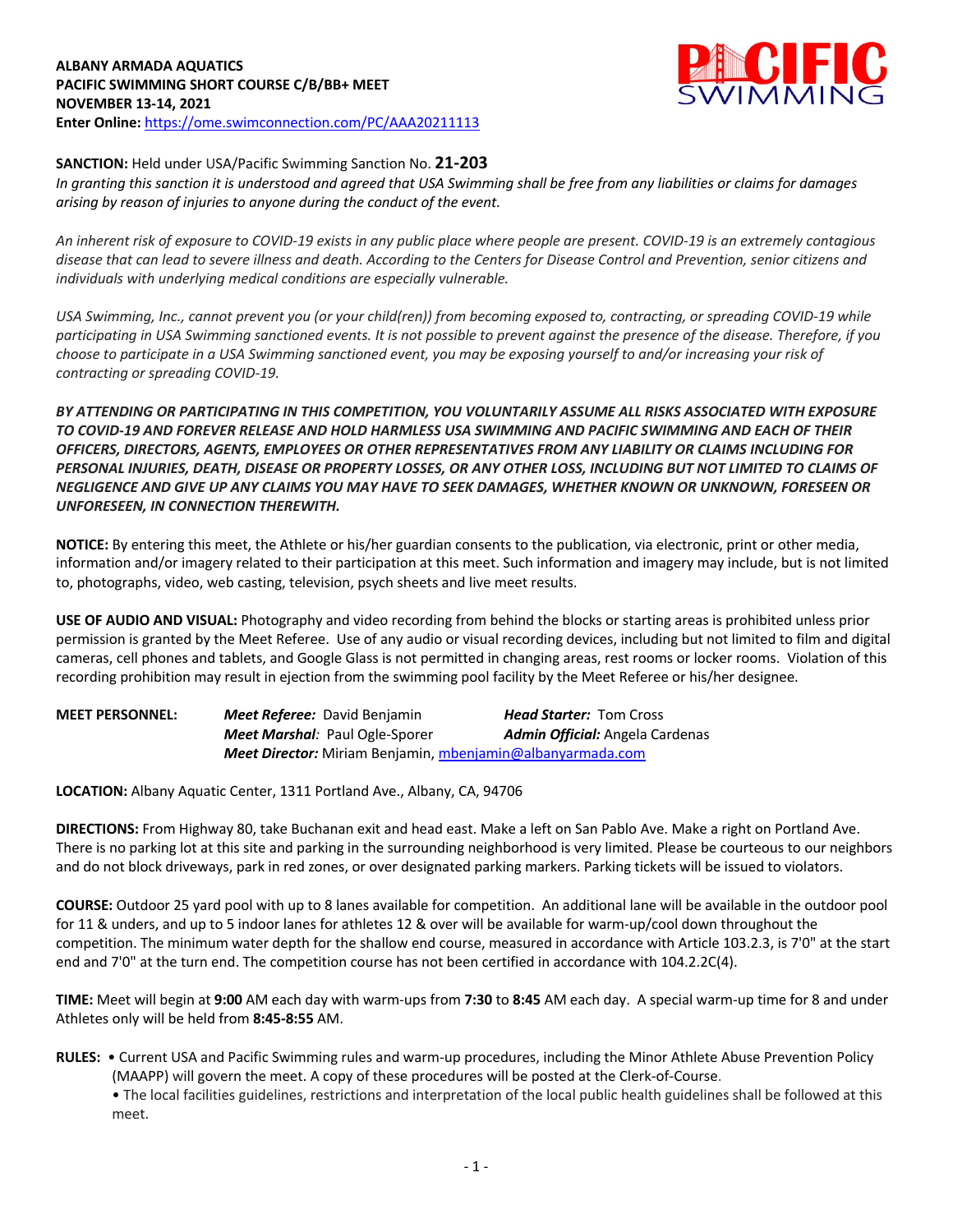# **ALBANY ARMADA AQUATICS PACIFIC SWIMMING SHORT COURSE C/B/BB+ MEET NOVEMBER 13-14, 2021 Enter Online:** https://ome.swimconnection.com/PC/AAA20211113



# **SANCTION:** Held under USA/Pacific Swimming Sanction No. **21-203**

*In granting this sanction it is understood and agreed that USA Swimming shall be free from any liabilities or claims for damages arising by reason of injuries to anyone during the conduct of the event.* 

*An inherent risk of exposure to COVID-19 exists in any public place where people are present. COVID-19 is an extremely contagious disease that can lead to severe illness and death. According to the Centers for Disease Control and Prevention, senior citizens and individuals with underlying medical conditions are especially vulnerable.*

*USA Swimming, Inc., cannot prevent you (or your child(ren)) from becoming exposed to, contracting, or spreading COVID-19 while participating in USA Swimming sanctioned events. It is not possible to prevent against the presence of the disease. Therefore, if you choose to participate in a USA Swimming sanctioned event, you may be exposing yourself to and/or increasing your risk of contracting or spreading COVID-19.*

*BY ATTENDING OR PARTICIPATING IN THIS COMPETITION, YOU VOLUNTARILY ASSUME ALL RISKS ASSOCIATED WITH EXPOSURE TO COVID-19 AND FOREVER RELEASE AND HOLD HARMLESS USA SWIMMING AND PACIFIC SWIMMING AND EACH OF THEIR OFFICERS, DIRECTORS, AGENTS, EMPLOYEES OR OTHER REPRESENTATIVES FROM ANY LIABILITY OR CLAIMS INCLUDING FOR PERSONAL INJURIES, DEATH, DISEASE OR PROPERTY LOSSES, OR ANY OTHER LOSS, INCLUDING BUT NOT LIMITED TO CLAIMS OF NEGLIGENCE AND GIVE UP ANY CLAIMS YOU MAY HAVE TO SEEK DAMAGES, WHETHER KNOWN OR UNKNOWN, FORESEEN OR UNFORESEEN, IN CONNECTION THEREWITH.*

**NOTICE:** By entering this meet, the Athlete or his/her guardian consents to the publication, via electronic, print or other media, information and/or imagery related to their participation at this meet. Such information and imagery may include, but is not limited to, photographs, video, web casting, television, psych sheets and live meet results.

**USE OF AUDIO AND VISUAL:** Photography and video recording from behind the blocks or starting areas is prohibited unless prior permission is granted by the Meet Referee. Use of any audio or visual recording devices, including but not limited to film and digital cameras, cell phones and tablets, and Google Glass is not permitted in changing areas, rest rooms or locker rooms. Violation of this recording prohibition may result in ejection from the swimming pool facility by the Meet Referee or his/her designee.

| <b>MEET PERSONNEL:</b> | <b>Meet Referee:</b> David Benjamin                        | <b>Head Starter:</b> Tom Cross         |
|------------------------|------------------------------------------------------------|----------------------------------------|
|                        | <b>Meet Marshal: Paul Ogle-Sporer</b>                      | <b>Admin Official:</b> Angela Cardenas |
|                        | Meet Director: Miriam Benjamin, mbenjamin@albanyarmada.com |                                        |

**LOCATION:** Albany Aquatic Center, 1311 Portland Ave., Albany, CA, 94706

**DIRECTIONS:** From Highway 80, take Buchanan exit and head east. Make a left on San Pablo Ave. Make a right on Portland Ave. There is no parking lot at this site and parking in the surrounding neighborhood is very limited. Please be courteous to our neighbors and do not block driveways, park in red zones, or over designated parking markers. Parking tickets will be issued to violators.

**COURSE:** Outdoor 25 yard pool with up to 8 lanes available for competition. An additional lane will be available in the outdoor pool for 11 & unders, and up to 5 indoor lanes for athletes 12 & over will be available for warm-up/cool down throughout the competition. The minimum water depth for the shallow end course, measured in accordance with Article 103.2.3, is 7'0" at the start end and 7'0" at the turn end. The competition course has not been certified in accordance with 104.2.2C(4).

**TIME:** Meet will begin at **9:00** AM each day with warm-ups from **7:30** to **8:45** AM each day. A special warm-up time for 8 and under Athletes only will be held from **8:45-8:55** AM.

**RULES:** • Current USA and Pacific Swimming rules and warm-up procedures, including the Minor Athlete Abuse Prevention Policy (MAAPP) will govern the meet. A copy of these procedures will be posted at the Clerk-of-Course.

• The local facilities guidelines, restrictions and interpretation of the local public health guidelines shall be followed at this meet.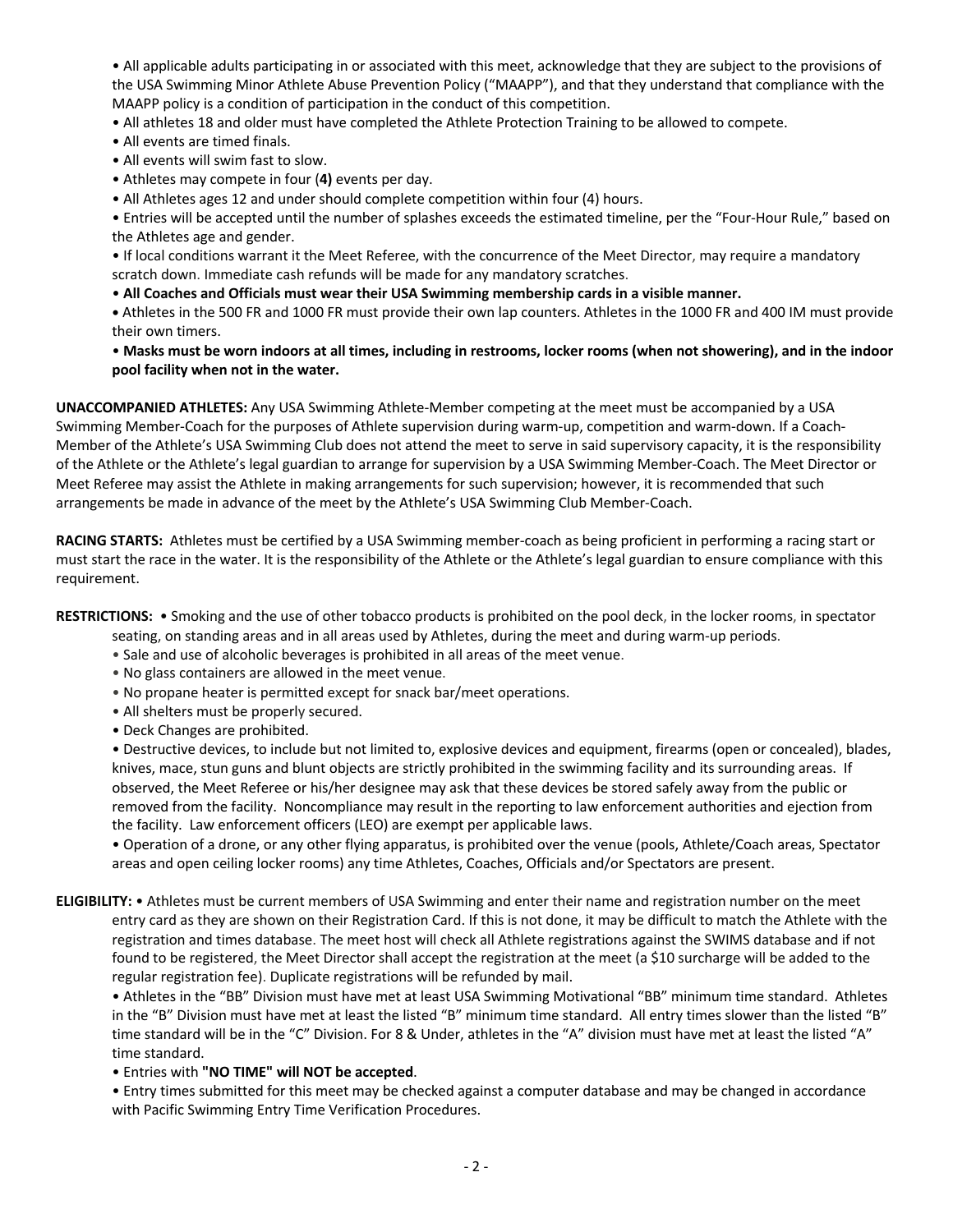• All applicable adults participating in or associated with this meet, acknowledge that they are subject to the provisions of the USA Swimming Minor Athlete Abuse Prevention Policy ("MAAPP"), and that they understand that compliance with the MAAPP policy is a condition of participation in the conduct of this competition.

• All athletes 18 and older must have completed the Athlete Protection Training to be allowed to compete.

- All events are timed finals.
- All events will swim fast to slow.
- Athletes may compete in four (**4)** events per day.

• All Athletes ages 12 and under should complete competition within four (4) hours.

• Entries will be accepted until the number of splashes exceeds the estimated timeline, per the "Four-Hour Rule," based on the Athletes age and gender.

• If local conditions warrant it the Meet Referee, with the concurrence of the Meet Director, may require a mandatory scratch down. Immediate cash refunds will be made for any mandatory scratches.

• **All Coaches and Officials must wear their USA Swimming membership cards in a visible manner.** 

**•** Athletes in the 500 FR and 1000 FR must provide their own lap counters. Athletes in the 1000 FR and 400 IM must provide their own timers.

• **Masks must be worn indoors at all times, including in restrooms, locker rooms (when not showering), and in the indoor pool facility when not in the water.** 

**UNACCOMPANIED ATHLETES:** Any USA Swimming Athlete-Member competing at the meet must be accompanied by a USA Swimming Member-Coach for the purposes of Athlete supervision during warm-up, competition and warm-down. If a Coach-Member of the Athlete's USA Swimming Club does not attend the meet to serve in said supervisory capacity, it is the responsibility of the Athlete or the Athlete's legal guardian to arrange for supervision by a USA Swimming Member-Coach. The Meet Director or Meet Referee may assist the Athlete in making arrangements for such supervision; however, it is recommended that such arrangements be made in advance of the meet by the Athlete's USA Swimming Club Member-Coach.

**RACING STARTS:** Athletes must be certified by a USA Swimming member-coach as being proficient in performing a racing start or must start the race in the water. It is the responsibility of the Athlete or the Athlete's legal guardian to ensure compliance with this requirement.

**RESTRICTIONS:** • Smoking and the use of other tobacco products is prohibited on the pool deck, in the locker rooms, in spectator

- seating, on standing areas and in all areas used by Athletes, during the meet and during warm-up periods.
- Sale and use of alcoholic beverages is prohibited in all areas of the meet venue.
- No glass containers are allowed in the meet venue.
- No propane heater is permitted except for snack bar/meet operations.
- All shelters must be properly secured.
- Deck Changes are prohibited.

• Destructive devices, to include but not limited to, explosive devices and equipment, firearms (open or concealed), blades, knives, mace, stun guns and blunt objects are strictly prohibited in the swimming facility and its surrounding areas. If observed, the Meet Referee or his/her designee may ask that these devices be stored safely away from the public or removed from the facility. Noncompliance may result in the reporting to law enforcement authorities and ejection from the facility. Law enforcement officers (LEO) are exempt per applicable laws.

• Operation of a drone, or any other flying apparatus, is prohibited over the venue (pools, Athlete/Coach areas, Spectator areas and open ceiling locker rooms) any time Athletes, Coaches, Officials and/or Spectators are present.

**ELIGIBILITY:** • Athletes must be current members of USA Swimming and enter their name and registration number on the meet entry card as they are shown on their Registration Card. If this is not done, it may be difficult to match the Athlete with the registration and times database. The meet host will check all Athlete registrations against the SWIMS database and if not found to be registered, the Meet Director shall accept the registration at the meet (a \$10 surcharge will be added to the regular registration fee). Duplicate registrations will be refunded by mail.

• Athletes in the "BB" Division must have met at least USA Swimming Motivational "BB" minimum time standard. Athletes in the "B" Division must have met at least the listed "B" minimum time standard. All entry times slower than the listed "B" time standard will be in the "C" Division. For 8 & Under, athletes in the "A" division must have met at least the listed "A" time standard.

• Entries with **"NO TIME" will NOT be accepted**.

• Entry times submitted for this meet may be checked against a computer database and may be changed in accordance with Pacific Swimming Entry Time Verification Procedures.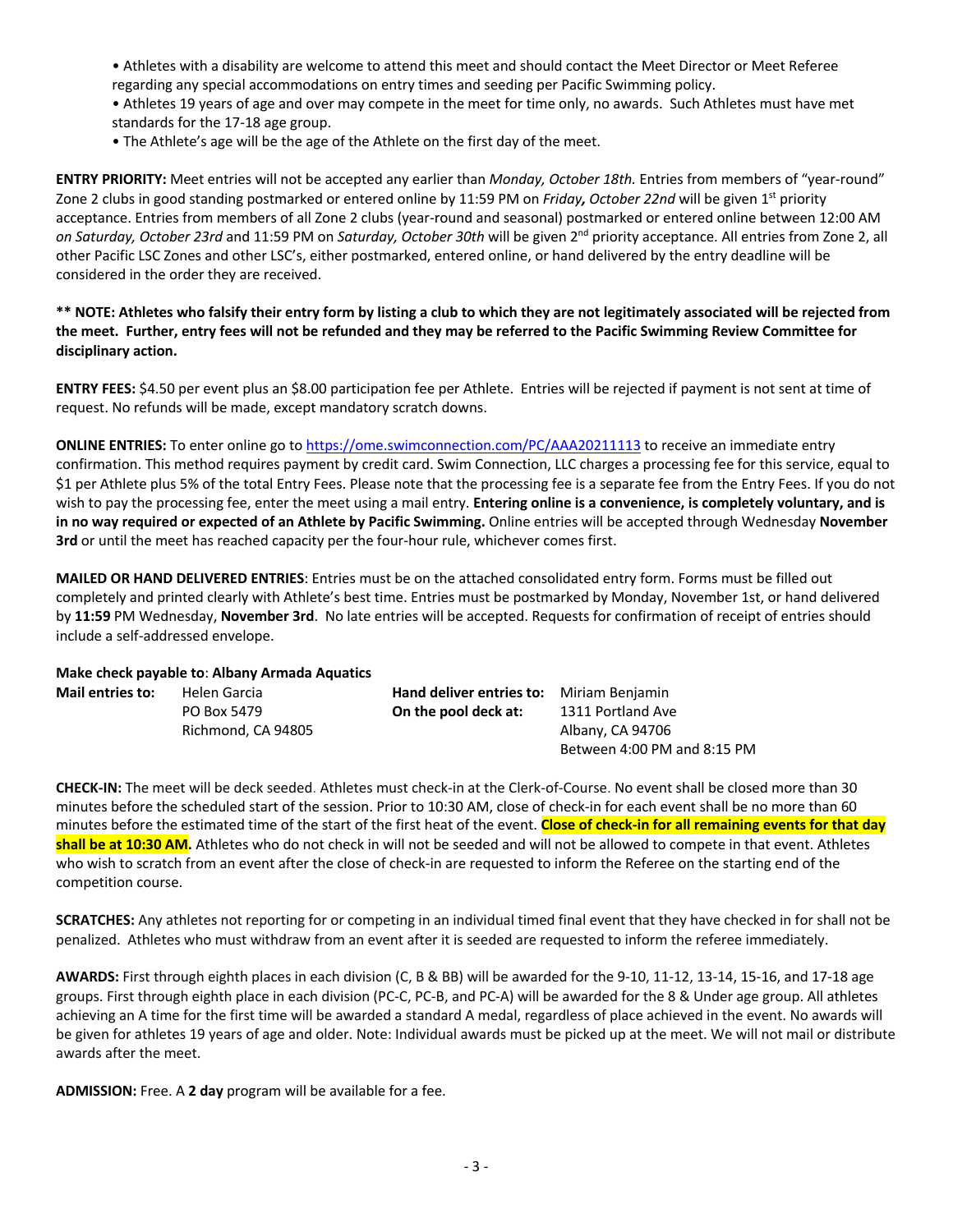- Athletes with a disability are welcome to attend this meet and should contact the Meet Director or Meet Referee regarding any special accommodations on entry times and seeding per Pacific Swimming policy. • Athletes 19 years of age and over may compete in the meet for time only, no awards. Such Athletes must have met standards for the 17-18 age group.
- The Athlete's age will be the age of the Athlete on the first day of the meet.

**ENTRY PRIORITY:** Meet entries will not be accepted any earlier than *Monday, October 18th.* Entries from members of "year-round" Zone 2 clubs in good standing postmarked or entered online by 11:59 PM on *Friday, October 22nd* will be given 1st priority acceptance. Entries from members of all Zone 2 clubs (year-round and seasonal) postmarked or entered online between 12:00 AM *on Saturday, October 23rd* and 11:59 PM on *Saturday, October 30th* will be given 2nd priority acceptance. All entries from Zone 2, all other Pacific LSC Zones and other LSC's, either postmarked, entered online, or hand delivered by the entry deadline will be considered in the order they are received.

# **\*\* NOTE: Athletes who falsify their entry form by listing a club to which they are not legitimately associated will be rejected from the meet. Further, entry fees will not be refunded and they may be referred to the Pacific Swimming Review Committee for disciplinary action.**

**ENTRY FEES:** \$4.50 per event plus an \$8.00 participation fee per Athlete. Entries will be rejected if payment is not sent at time of request. No refunds will be made, except mandatory scratch downs.

**ONLINE ENTRIES:** To enter online go to https://ome.swimconnection.com/PC/AAA20211113 to receive an immediate entry confirmation. This method requires payment by credit card. Swim Connection, LLC charges a processing fee for this service, equal to \$1 per Athlete plus 5% of the total Entry Fees. Please note that the processing fee is a separate fee from the Entry Fees. If you do not wish to pay the processing fee, enter the meet using a mail entry. **Entering online is a convenience, is completely voluntary, and is in no way required or expected of an Athlete by Pacific Swimming.** Online entries will be accepted through Wednesday **November 3rd** or until the meet has reached capacity per the four-hour rule, whichever comes first.

**MAILED OR HAND DELIVERED ENTRIES**: Entries must be on the attached consolidated entry form. Forms must be filled out completely and printed clearly with Athlete's best time. Entries must be postmarked by Monday, November 1st, or hand delivered by **11:59** PM Wednesday, **November 3rd**. No late entries will be accepted. Requests for confirmation of receipt of entries should include a self-addressed envelope.

### **Make check payable to**: **Albany Armada Aquatics**

| <b>Mail entries to:</b> | Helen Garcia       | <b>Hand deliver entries to:</b> Miriam Benjamin |                             |
|-------------------------|--------------------|-------------------------------------------------|-----------------------------|
|                         | PO Box 5479        | On the pool deck at:                            | 1311 Portland Ave           |
|                         | Richmond, CA 94805 |                                                 | Albany, CA 94706            |
|                         |                    |                                                 | Between 4:00 PM and 8:15 PM |

**CHECK-IN:** The meet will be deck seeded. Athletes must check-in at the Clerk-of-Course. No event shall be closed more than 30 minutes before the scheduled start of the session. Prior to 10:30 AM, close of check-in for each event shall be no more than 60 minutes before the estimated time of the start of the first heat of the event. **Close of check-in for all remaining events for that day shall be at 10:30 AM.** Athletes who do not check in will not be seeded and will not be allowed to compete in that event. Athletes who wish to scratch from an event after the close of check-in are requested to inform the Referee on the starting end of the competition course.

**SCRATCHES:** Any athletes not reporting for or competing in an individual timed final event that they have checked in for shall not be penalized. Athletes who must withdraw from an event after it is seeded are requested to inform the referee immediately.

**AWARDS:** First through eighth places in each division (C, B & BB) will be awarded for the 9-10, 11-12, 13-14, 15-16, and 17-18 age groups. First through eighth place in each division (PC-C, PC-B, and PC-A) will be awarded for the 8 & Under age group. All athletes achieving an A time for the first time will be awarded a standard A medal, regardless of place achieved in the event. No awards will be given for athletes 19 years of age and older. Note: Individual awards must be picked up at the meet. We will not mail or distribute awards after the meet.

**ADMISSION:** Free. A **2 day** program will be available for a fee.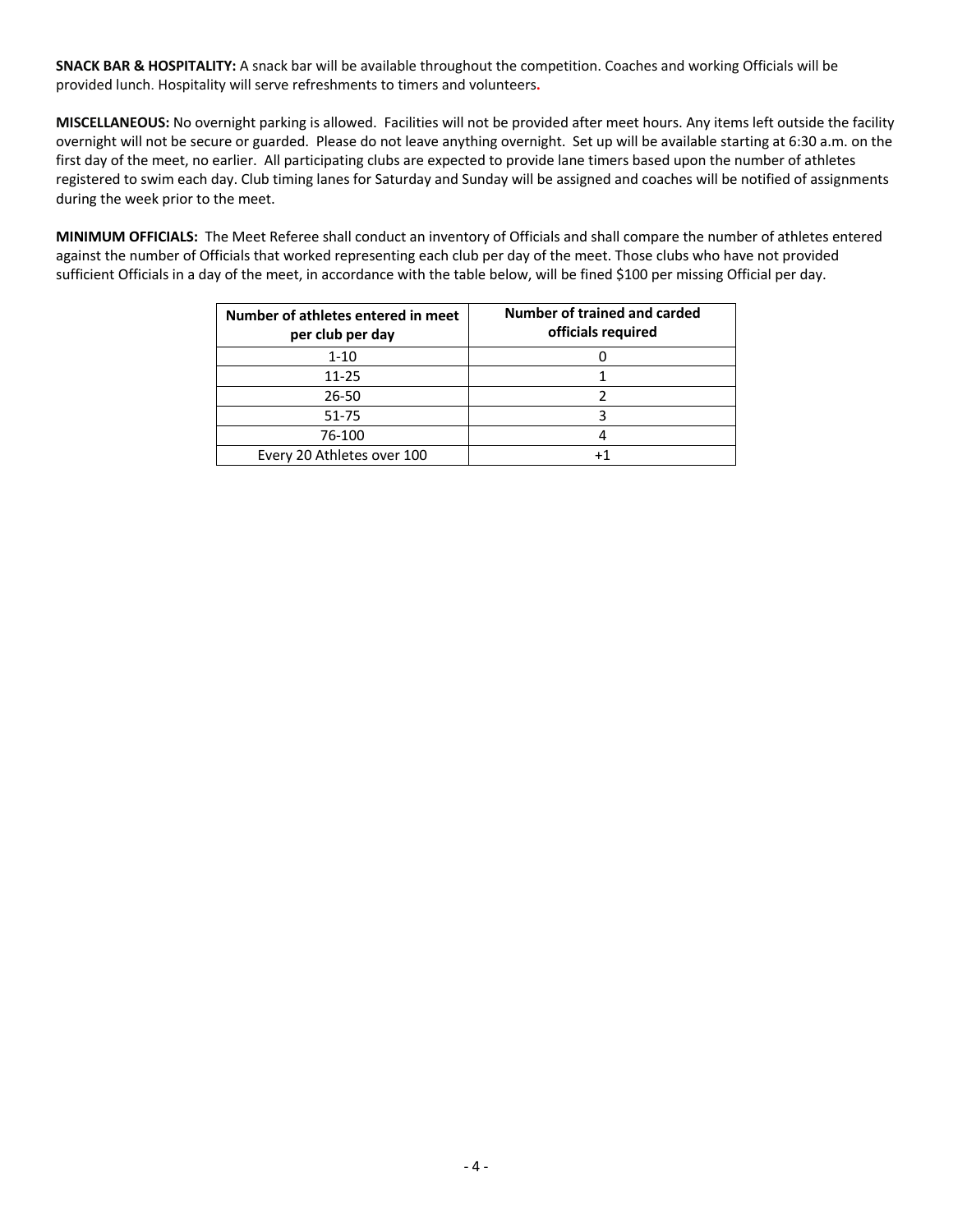**SNACK BAR & HOSPITALITY:** A snack bar will be available throughout the competition. Coaches and working Officials will be provided lunch. Hospitality will serve refreshments to timers and volunteers**.**

**MISCELLANEOUS:** No overnight parking is allowed. Facilities will not be provided after meet hours. Any items left outside the facility overnight will not be secure or guarded. Please do not leave anything overnight. Set up will be available starting at 6:30 a.m. on the first day of the meet, no earlier. All participating clubs are expected to provide lane timers based upon the number of athletes registered to swim each day. Club timing lanes for Saturday and Sunday will be assigned and coaches will be notified of assignments during the week prior to the meet.

**MINIMUM OFFICIALS:** The Meet Referee shall conduct an inventory of Officials and shall compare the number of athletes entered against the number of Officials that worked representing each club per day of the meet. Those clubs who have not provided sufficient Officials in a day of the meet, in accordance with the table below, will be fined \$100 per missing Official per day.

| Number of athletes entered in meet<br>per club per day | Number of trained and carded<br>officials required |  |  |  |  |  |  |
|--------------------------------------------------------|----------------------------------------------------|--|--|--|--|--|--|
| $1 - 10$                                               |                                                    |  |  |  |  |  |  |
| 11-25                                                  |                                                    |  |  |  |  |  |  |
| 26-50                                                  |                                                    |  |  |  |  |  |  |
| $51 - 75$                                              |                                                    |  |  |  |  |  |  |
| 76-100                                                 |                                                    |  |  |  |  |  |  |
| Every 20 Athletes over 100                             |                                                    |  |  |  |  |  |  |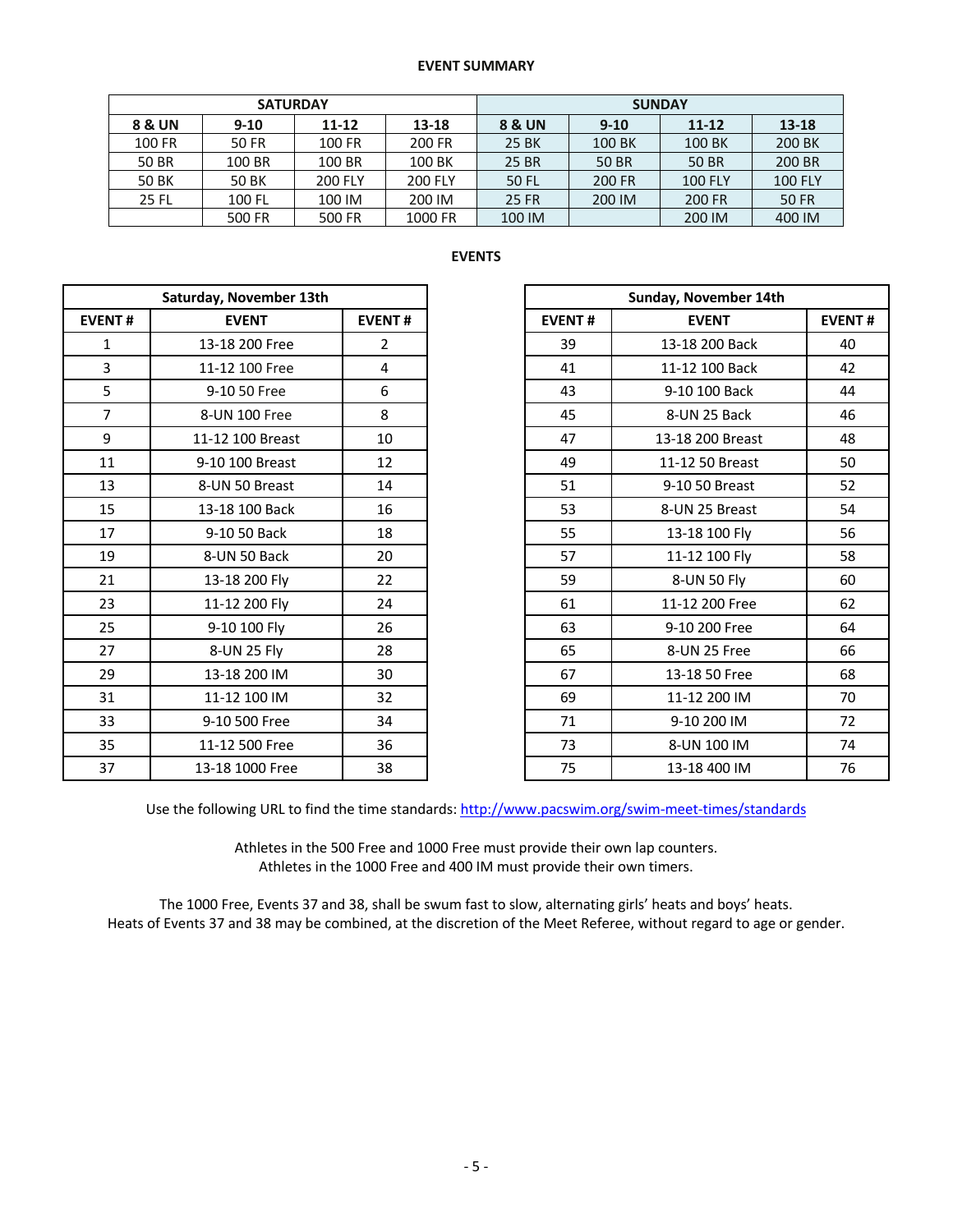#### **EVENT SUMMARY**

|        | <b>SATURDAY</b> |                    |                | <b>SUNDAY</b>          |          |                |                |  |  |
|--------|-----------------|--------------------|----------------|------------------------|----------|----------------|----------------|--|--|
| 8 & UN | $9 - 10$        | $11 - 12$<br>13-18 |                | <b>8 &amp; UN</b>      | $9 - 10$ | $11 - 12$      | 13-18          |  |  |
| 100 FR | 50 FR           | 100 FR             | 200 FR         | 25 BK                  | 100 BK   |                | 200 BK         |  |  |
| 50 BR  | 100 BR          | 100 BR             | 100 BK         | 25 BR                  | 50 BR    | 50 BR          | 200 BR         |  |  |
| 50 BK  | <b>50 BK</b>    | <b>200 FLY</b>     | <b>200 FLY</b> | 50 FL                  | 200 FR   | <b>100 FLY</b> | <b>100 FLY</b> |  |  |
| 25 FL  | 100 FL          | 100 IM             | 200 IM         | <b>25 FR</b><br>200 IM |          | 200 FR         | 50 FR          |  |  |
|        | 500 FR          | 500 FR             | 1000 FR        | 100 IM                 |          | 200 IM         | 400 IM         |  |  |

### **EVENTS**

|                | Saturday, November 13th |                | Sunday, November 14th |                  |
|----------------|-------------------------|----------------|-----------------------|------------------|
| <b>EVENT#</b>  | <b>EVENT</b>            | <b>EVENT#</b>  | <b>EVENT#</b>         | <b>EVENT</b>     |
| $\mathbf{1}$   | 13-18 200 Free          | $\overline{2}$ | 39                    | 13-18 200 Back   |
| 3              | 11-12 100 Free          | 4              | 41                    | 11-12 100 Back   |
| 5              | 9-10 50 Free            | 6              | 43                    | 9-10 100 Back    |
| $\overline{7}$ | 8-UN 100 Free           | 8              | 45                    | 8-UN 25 Back     |
| 9              | 11-12 100 Breast        | 10             | 47                    | 13-18 200 Breast |
| 11             | 9-10 100 Breast         | 12             | 49                    | 11-12 50 Breast  |
| 13             | 8-UN 50 Breast          | 14             | 51                    | 9-10 50 Breast   |
| 15             | 13-18 100 Back          | 16             | 53                    | 8-UN 25 Breast   |
| 17             | 9-10 50 Back            | 18             | 55                    | 13-18 100 Fly    |
| 19             | 8-UN 50 Back            | 20             | 57                    | 11-12 100 Fly    |
| 21             | 13-18 200 Fly           | 22             | 59                    | 8-UN 50 Fly      |
| 23             | 11-12 200 Fly           | 24             | 61                    | 11-12 200 Free   |
| 25             | 9-10 100 Fly            | 26             | 63                    | 9-10 200 Free    |
| 27             | 8-UN 25 Fly             | 28             | 65                    | 8-UN 25 Free     |
| 29             | 13-18 200 IM            | 30             | 67                    | 13-18 50 Free    |
| 31             | 11-12 100 IM            | 32             | 69                    | 11-12 200 IM     |
| 33             | 9-10 500 Free           | 34             | 71                    | 9-10 200 IM      |
| 35             | 11-12 500 Free          | 36             | 73                    | 8-UN 100 IM      |
| 37             | 13-18 1000 Free         | 38             | 75                    | 13-18 400 IM     |

| Saturday, November 13th |                  |                |
|-------------------------|------------------|----------------|
| <b>EVENT#</b>           | <b>EVENT</b>     | <b>EVENT#</b>  |
| 1                       | 13-18 200 Free   | $\overline{2}$ |
| $\overline{\mathbf{3}}$ | 11-12 100 Free   | 4              |
| 5                       | 9-10 50 Free     | 6              |
| $\overline{7}$          | 8-UN 100 Free    | 8              |
| 9                       | 11-12 100 Breast | 10             |
| 11                      | 9-10 100 Breast  | 12             |
| 13                      | 8-UN 50 Breast   | 14             |
| 15                      | 13-18 100 Back   | 16             |
| 17                      | 9-10 50 Back     | 18             |
| 19                      | 8-UN 50 Back     | 20             |
| 21                      | 13-18 200 Fly    | 22             |
| 23                      | 11-12 200 Fly    | 24             |
| 25                      | 9-10 100 Fly     | 26             |
| 27                      | 8-UN 25 Fly      | 28             |
| 29                      | 13-18 200 IM     | 30             |
| 31                      | 11-12 100 IM     | 32             |
| 33                      | 9-10 500 Free    | 34             |
| 35                      | 11-12 500 Free   | 36             |
| 37                      | 13-18 1000 Free  | 38             |

Use the following URL to find the time standards: http://www.pacswim.org/swim-meet-times/standards

Athletes in the 500 Free and 1000 Free must provide their own lap counters. Athletes in the 1000 Free and 400 IM must provide their own timers.

The 1000 Free, Events 37 and 38, shall be swum fast to slow, alternating girls' heats and boys' heats. Heats of Events 37 and 38 may be combined, at the discretion of the Meet Referee, without regard to age or gender.